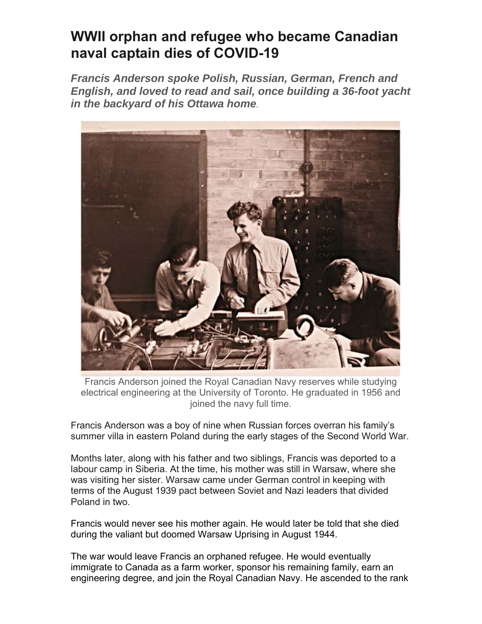## **WWII orphan and refugee who became Canadian naval captain dies of COVID-19**

*Francis Anderson spoke Polish, Russian, German, French and English, and loved to read and sail, once building a 36-foot yacht in the backyard of his Ottawa home.* 



Francis Anderson joined the Royal Canadian Navy reserves while studying electrical engineering at the University of Toronto. He graduated in 1956 and joined the navy full time.

Francis Anderson was a boy of nine when Russian forces overran his family's summer villa in eastern Poland during the early stages of the Second World War.

Months later, along with his father and two siblings, Francis was deported to a labour camp in Siberia. At the time, his mother was still in Warsaw, where she was visiting her sister. Warsaw came under German control in keeping with terms of the August 1939 pact between Soviet and Nazi leaders that divided Poland in two.

Francis would never see his mother again. He would later be told that she died during the valiant but doomed Warsaw Uprising in August 1944.

The war would leave Francis an orphaned refugee. He would eventually immigrate to Canada as a farm worker, sponsor his remaining family, earn an engineering degree, and join the Royal Canadian Navy. He ascended to the rank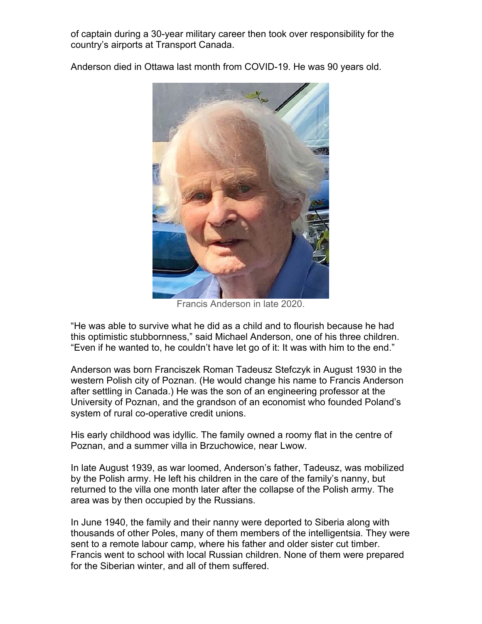of captain during a 30-year military career then took over responsibility for the country's airports at Transport Canada.

Anderson died in Ottawa last month from COVID-19. He was 90 years old.



Francis Anderson in late 2020.

"He was able to survive what he did as a child and to flourish because he had this optimistic stubbornness," said Michael Anderson, one of his three children. "Even if he wanted to, he couldn't have let go of it: It was with him to the end."

Anderson was born Franciszek Roman Tadeusz Stefczyk in August 1930 in the western Polish city of Poznan. (He would change his name to Francis Anderson after settling in Canada.) He was the son of an engineering professor at the University of Poznan, and the grandson of an economist who founded Poland's system of rural co-operative credit unions.

His early childhood was idyllic. The family owned a roomy flat in the centre of Poznan, and a summer villa in Brzuchowice, near Lwow.

In late August 1939, as war loomed, Anderson's father, Tadeusz, was mobilized by the Polish army. He left his children in the care of the family's nanny, but returned to the villa one month later after the collapse of the Polish army. The area was by then occupied by the Russians.

In June 1940, the family and their nanny were deported to Siberia along with thousands of other Poles, many of them members of the intelligentsia. They were sent to a remote labour camp, where his father and older sister cut timber. Francis went to school with local Russian children. None of them were prepared for the Siberian winter, and all of them suffered.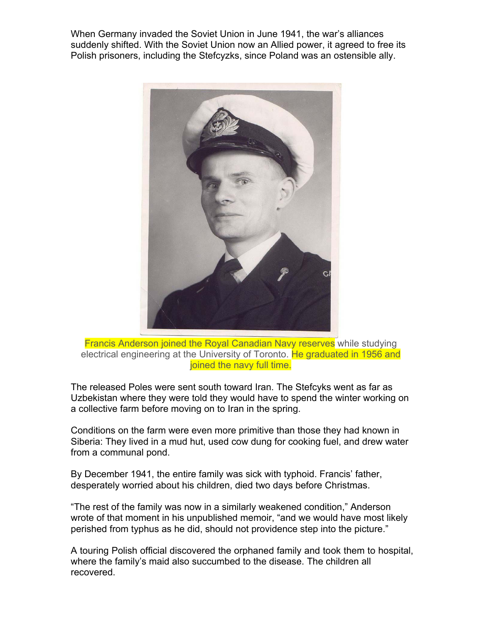When Germany invaded the Soviet Union in June 1941, the war's alliances suddenly shifted. With the Soviet Union now an Allied power, it agreed to free its Polish prisoners, including the Stefcyzks, since Poland was an ostensible ally.



Francis Anderson joined the Royal Canadian Navy reserves while studying electrical engineering at the University of Toronto. He graduated in 1956 and joined the navy full time.

The released Poles were sent south toward Iran. The Stefcyks went as far as Uzbekistan where they were told they would have to spend the winter working on a collective farm before moving on to Iran in the spring.

Conditions on the farm were even more primitive than those they had known in Siberia: They lived in a mud hut, used cow dung for cooking fuel, and drew water from a communal pond.

By December 1941, the entire family was sick with typhoid. Francis' father, desperately worried about his children, died two days before Christmas.

"The rest of the family was now in a similarly weakened condition," Anderson wrote of that moment in his unpublished memoir, "and we would have most likely perished from typhus as he did, should not providence step into the picture."

A touring Polish official discovered the orphaned family and took them to hospital, where the family's maid also succumbed to the disease. The children all recovered.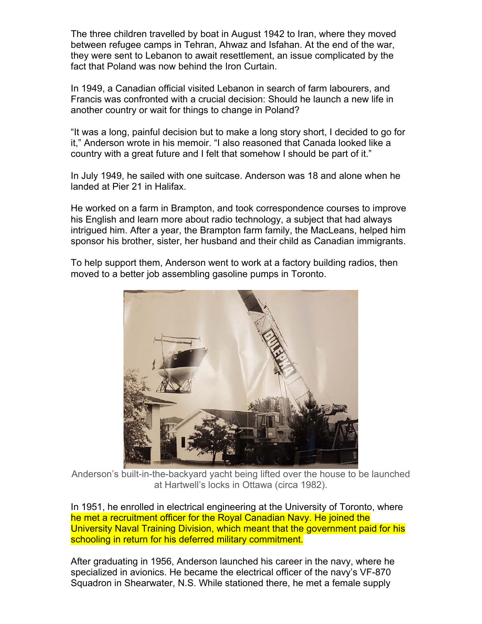The three children travelled by boat in August 1942 to Iran, where they moved between refugee camps in Tehran, Ahwaz and Isfahan. At the end of the war, they were sent to Lebanon to await resettlement, an issue complicated by the fact that Poland was now behind the Iron Curtain.

In 1949, a Canadian official visited Lebanon in search of farm labourers, and Francis was confronted with a crucial decision: Should he launch a new life in another country or wait for things to change in Poland?

"It was a long, painful decision but to make a long story short, I decided to go for it," Anderson wrote in his memoir. "I also reasoned that Canada looked like a country with a great future and I felt that somehow I should be part of it."

In July 1949, he sailed with one suitcase. Anderson was 18 and alone when he landed at Pier 21 in Halifax.

He worked on a farm in Brampton, and took correspondence courses to improve his English and learn more about radio technology, a subject that had always intrigued him. After a year, the Brampton farm family, the MacLeans, helped him sponsor his brother, sister, her husband and their child as Canadian immigrants.

To help support them, Anderson went to work at a factory building radios, then moved to a better job assembling gasoline pumps in Toronto.



Anderson's built-in-the-backyard yacht being lifted over the house to be launched at Hartwell's locks in Ottawa (circa 1982).

In 1951, he enrolled in electrical engineering at the University of Toronto, where he met a recruitment officer for the Royal Canadian Navy. He joined the University Naval Training Division, which meant that the government paid for his schooling in return for his deferred military commitment.

After graduating in 1956, Anderson launched his career in the navy, where he specialized in avionics. He became the electrical officer of the navy's VF-870 Squadron in Shearwater, N.S. While stationed there, he met a female supply